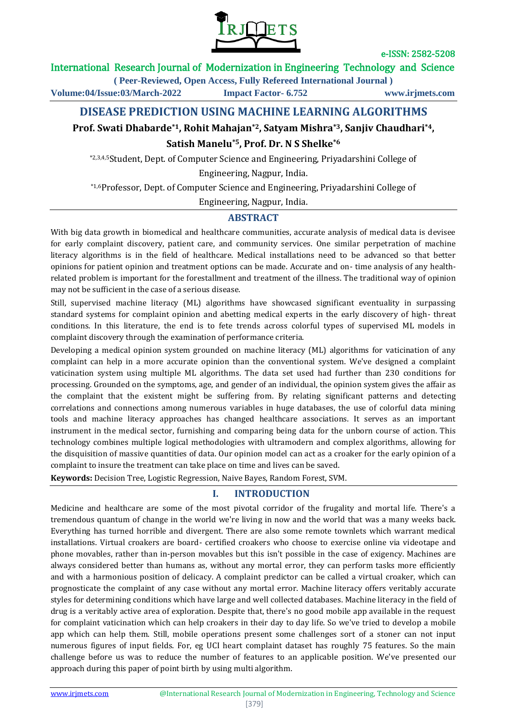

## International Research Journal of Modernization in Engineering Technology and Science

**( Peer-Reviewed, Open Access, Fully Refereed International Journal ) Volume:04/Issue:03/March-2022 Impact Factor- 6.752 www.irjmets.com**

# **DISEASE PREDICTION USING MACHINE LEARNING ALGORITHMS**

# **Prof. Swati Dhabarde\*1, Rohit Mahajan\*2, Satyam Mishra\*3, Sanjiv Chaudhari\*4, Satish Manelu\*5, Prof. Dr. N S Shelke\*6**

\*2,3,4,5Student, Dept. of Computer Science and Engineering, Priyadarshini College of Engineering, Nagpur, India.

\*1,6Professor, Dept. of Computer Science and Engineering, Priyadarshini College of

Engineering, Nagpur, India.

## **ABSTRACT**

With big data growth in biomedical and healthcare communities, accurate analysis of medical data is devisee for early complaint discovery, patient care, and community services. One similar perpetration of machine literacy algorithms is in the field of healthcare. Medical installations need to be advanced so that better opinions for patient opinion and treatment options can be made. Accurate and on- time analysis of any healthrelated problem is important for the forestallment and treatment of the illness. The traditional way of opinion may not be sufficient in the case of a serious disease.

Still, supervised machine literacy (ML) algorithms have showcased significant eventuality in surpassing standard systems for complaint opinion and abetting medical experts in the early discovery of high- threat conditions. In this literature, the end is to fete trends across colorful types of supervised ML models in complaint discovery through the examination of performance criteria.

Developing a medical opinion system grounded on machine literacy (ML) algorithms for vaticination of any complaint can help in a more accurate opinion than the conventional system. We've designed a complaint vaticination system using multiple ML algorithms. The data set used had further than 230 conditions for processing. Grounded on the symptoms, age, and gender of an individual, the opinion system gives the affair as the complaint that the existent might be suffering from. By relating significant patterns and detecting correlations and connections among numerous variables in huge databases, the use of colorful data mining tools and machine literacy approaches has changed healthcare associations. It serves as an important instrument in the medical sector, furnishing and comparing being data for the unborn course of action. This technology combines multiple logical methodologies with ultramodern and complex algorithms, allowing for the disquisition of massive quantities of data. Our opinion model can act as a croaker for the early opinion of a complaint to insure the treatment can take place on time and lives can be saved.

**Keywords:** Decision Tree, Logistic Regression, Naive Bayes, Random Forest, SVM.

# **I. INTRODUCTION**

Medicine and healthcare are some of the most pivotal corridor of the frugality and mortal life. There's a tremendous quantum of change in the world we're living in now and the world that was a many weeks back. Everything has turned horrible and divergent. There are also some remote townlets which warrant medical installations. Virtual croakers are board- certified croakers who choose to exercise online via videotape and phone movables, rather than in-person movables but this isn't possible in the case of exigency. Machines are always considered better than humans as, without any mortal error, they can perform tasks more efficiently and with a harmonious position of delicacy. A complaint predictor can be called a virtual croaker, which can prognosticate the complaint of any case without any mortal error. Machine literacy offers veritably accurate styles for determining conditions which have large and well collected databases. Machine literacy in the field of drug is a veritably active area of exploration. Despite that, there's no good mobile app available in the request for complaint vaticination which can help croakers in their day to day life. So we've tried to develop a mobile app which can help them. Still, mobile operations present some challenges sort of a stoner can not input numerous figures of input fields. For, eg UCI heart complaint dataset has roughly 75 features. So the main challenge before us was to reduce the number of features to an applicable position. We've presented our approach during this paper of point birth by using multi algorithm.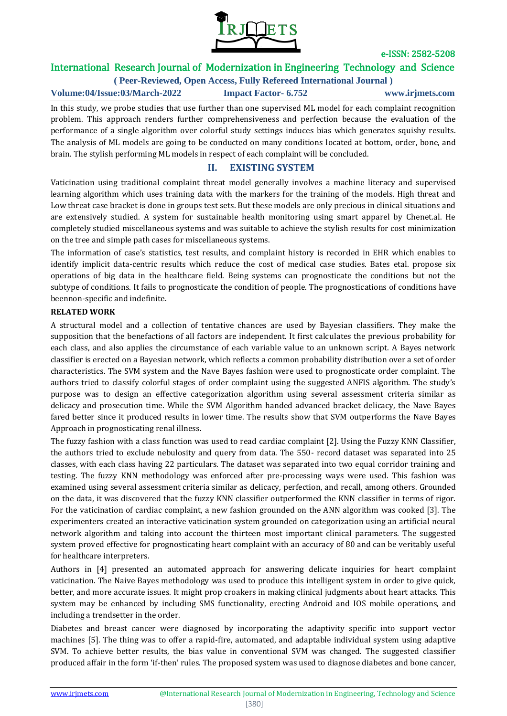

# International Research Journal of Modernization in Engineering Technology and Science

**( Peer-Reviewed, Open Access, Fully Refereed International Journal ) Volume:04/Issue:03/March-2022 Impact Factor- 6.752 www.irjmets.com**

In this study, we probe studies that use further than one supervised ML model for each complaint recognition problem. This approach renders further comprehensiveness and perfection because the evaluation of the performance of a single algorithm over colorful study settings induces bias which generates squishy results. The analysis of ML models are going to be conducted on many conditions located at bottom, order, bone, and brain. The stylish performing ML models in respect of each complaint will be concluded.

## **II. EXISTING SYSTEM**

Vaticination using traditional complaint threat model generally involves a machine literacy and supervised learning algorithm which uses training data with the markers for the training of the models. High threat and Low threat case bracket is done in groups test sets. But these models are only precious in clinical situations and are extensively studied. A system for sustainable health monitoring using smart apparel by Chenet.al. He completely studied miscellaneous systems and was suitable to achieve the stylish results for cost minimization on the tree and simple path cases for miscellaneous systems.

The information of case's statistics, test results, and complaint history is recorded in EHR which enables to identify implicit data-centric results which reduce the cost of medical case studies. Bates etal. propose six operations of big data in the healthcare field. Being systems can prognosticate the conditions but not the subtype of conditions. It fails to prognosticate the condition of people. The prognostications of conditions have beennon-specific and indefinite.

### **RELATED WORK**

A structural model and a collection of tentative chances are used by Bayesian classifiers. They make the supposition that the benefactions of all factors are independent. It first calculates the previous probability for each class, and also applies the circumstance of each variable value to an unknown script. A Bayes network classifier is erected on a Bayesian network, which reflects a common probability distribution over a set of order characteristics. The SVM system and the Nave Bayes fashion were used to prognosticate order complaint. The authors tried to classify colorful stages of order complaint using the suggested ANFIS algorithm. The study's purpose was to design an effective categorization algorithm using several assessment criteria similar as delicacy and prosecution time. While the SVM Algorithm handed advanced bracket delicacy, the Nave Bayes fared better since it produced results in lower time. The results show that SVM outperforms the Nave Bayes Approach in prognosticating renal illness.

The fuzzy fashion with a class function was used to read cardiac complaint [2]. Using the Fuzzy KNN Classifier, the authors tried to exclude nebulosity and query from data. The 550- record dataset was separated into 25 classes, with each class having 22 particulars. The dataset was separated into two equal corridor training and testing. The fuzzy KNN methodology was enforced after pre-processing ways were used. This fashion was examined using several assessment criteria similar as delicacy, perfection, and recall, among others. Grounded on the data, it was discovered that the fuzzy KNN classifier outperformed the KNN classifier in terms of rigor. For the vaticination of cardiac complaint, a new fashion grounded on the ANN algorithm was cooked [3]. The experimenters created an interactive vaticination system grounded on categorization using an artificial neural network algorithm and taking into account the thirteen most important clinical parameters. The suggested system proved effective for prognosticating heart complaint with an accuracy of 80 and can be veritably useful for healthcare interpreters.

Authors in [4] presented an automated approach for answering delicate inquiries for heart complaint vaticination. The Naive Bayes methodology was used to produce this intelligent system in order to give quick, better, and more accurate issues. It might prop croakers in making clinical judgments about heart attacks. This system may be enhanced by including SMS functionality, erecting Android and IOS mobile operations, and including a trendsetter in the order.

Diabetes and breast cancer were diagnosed by incorporating the adaptivity specific into support vector machines [5]. The thing was to offer a rapid-fire, automated, and adaptable individual system using adaptive SVM. To achieve better results, the bias value in conventional SVM was changed. The suggested classifier produced affair in the form 'if-then' rules. The proposed system was used to diagnose diabetes and bone cancer,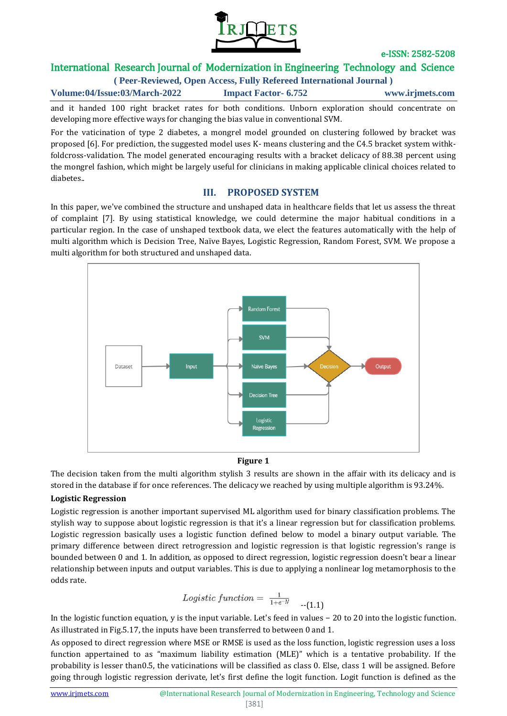

# International Research Journal of Modernization in Engineering Technology and Science

**( Peer-Reviewed, Open Access, Fully Refereed International Journal )**

**Volume:04/Issue:03/March-2022 Impact Factor- 6.752 www.irjmets.com**

and it handed 100 right bracket rates for both conditions. Unborn exploration should concentrate on developing more effective ways for changing the bias value in conventional SVM.

For the vaticination of type 2 diabetes, a mongrel model grounded on clustering followed by bracket was proposed [6]. For prediction, the suggested model uses K- means clustering and the C4.5 bracket system withkfoldcross-validation. The model generated encouraging results with a bracket delicacy of 88.38 percent using the mongrel fashion, which might be largely useful for clinicians in making applicable clinical choices related to diabetes..

## **III. PROPOSED SYSTEM**

In this paper, we've combined the structure and unshaped data in healthcare fields that let us assess the threat of complaint [7]. By using statistical knowledge, we could determine the major habitual conditions in a particular region. In the case of unshaped textbook data, we elect the features automatically with the help of multi algorithm which is Decision Tree, Naïve Bayes, Logistic Regression, Random Forest, SVM. We propose a multi algorithm for both structured and unshaped data.



#### **Figure 1**

The decision taken from the multi algorithm stylish 3 results are shown in the affair with its delicacy and is stored in the database if for once references. The delicacy we reached by using multiple algorithm is 93.24%.

### **Logistic Regression**

Logistic regression is another important supervised ML algorithm used for binary classification problems. The stylish way to suppose about logistic regression is that it's a linear regression but for classification problems. Logistic regression basically uses a logistic function defined below to model a binary output variable. The primary difference between direct retrogression and logistic regression is that logistic regression's range is bounded between 0 and 1. In addition, as opposed to direct regression, logistic regression doesn't bear a linear relationship between inputs and output variables. This is due to applying a nonlinear log metamorphosis to the odds rate.

$$
Logistic\ function = \frac{1}{1+e^{-y}} \quad \text{---}(1.1)
$$

In the logistic function equation, y is the input variable. Let's feed in values − 20 to 20 into the logistic function. As illustrated in Fig.5.17, the inputs have been transferred to between 0 and 1.

As opposed to direct regression where MSE or RMSE is used as the loss function, logistic regression uses a loss function appertained to as "maximum liability estimation (MLE)" which is a tentative probability. If the probability is lesser than0.5, the vaticinations will be classified as class 0. Else, class 1 will be assigned. Before going through logistic regression derivate, let's first define the logit function. Logit function is defined as the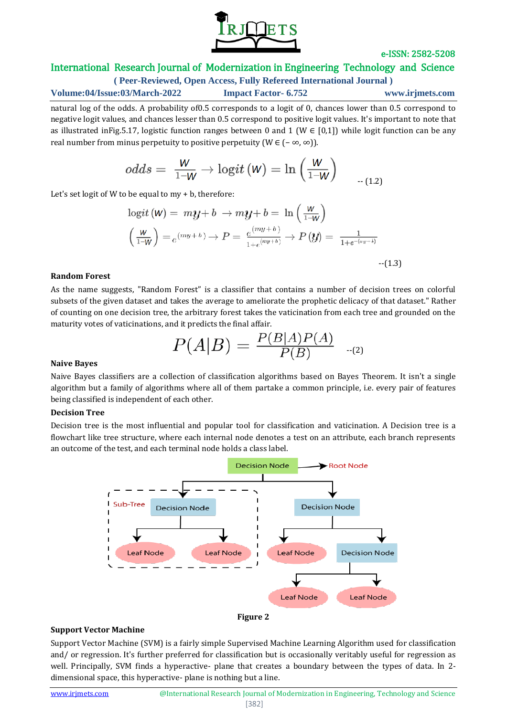

## International Research Journal of Modernization in Engineering Technology and Science

**( Peer-Reviewed, Open Access, Fully Refereed International Journal ) Volume:04/Issue:03/March-2022 Impact Factor- 6.752 www.irjmets.com**

natural log of the odds. A probability of0.5 corresponds to a logit of 0, chances lower than 0.5 correspond to negative logit values, and chances lesser than 0.5 correspond to positive logit values. It's important to note that as illustrated inFig.5.17, logistic function ranges between 0 and 1 (W  $\in$  [0,1]) while logit function can be any real number from minus perpetuity to positive perpetuity (W  $\in$   $(-\infty, \infty)$ ).

$$
odds = \ \frac{W}{1\text{--}W} \rightarrow \text{logit}\left( W \right) = \text{ln}\left( \frac{W}{1\text{--}W} \right) \text{ \quad \ \ \, \text{---}\text{---}\text{(1.2)}
$$

Let's set logit of W to be equal to my + b, therefore:

$$
\begin{aligned} \logit\left(\mathsf{W}\right) &= m\boldsymbol{y} + b \ \rightarrow m\boldsymbol{y} + b = \ \ln\left(\frac{\mathsf{W}}{1-\mathsf{W}}\right) \\ &\left(\frac{\mathsf{W}}{1-\mathsf{W}}\right) = e^{(my+b)} \rightarrow P = \frac{e^{(my+b)}}{1+e^{(my+b)}} \rightarrow P\left(\boldsymbol{y}\right) = \ \frac{1}{1+e^{-(my+b)}} \\ \end{aligned} \tag{1.3}
$$

#### **Random Forest**

As the name suggests, "Random Forest" is a classifier that contains a number of decision trees on colorful subsets of the given dataset and takes the average to ameliorate the prophetic delicacy of that dataset." Rather of counting on one decision tree, the arbitrary forest takes the vaticination from each tree and grounded on the maturity votes of vaticinations, and it predicts the final affair.

$$
P(A|B) = \frac{P(B|A)P(A)}{P(B)} \quad \text{-(2)}
$$

### **Naive Bayes**

Naive Bayes classifiers are a collection of classification algorithms based on Bayes Theorem. It isn't a single algorithm but a family of algorithms where all of them partake a common principle, i.e. every pair of features being classified is independent of each other.

### **Decision Tree**

Decision tree is the most influential and popular tool for classification and vaticination. A Decision tree is a flowchart like tree structure, where each internal node denotes a test on an attribute, each branch represents an outcome of the test, and each terminal node holds a class label.





#### **Support Vector Machine**

Support Vector Machine (SVM) is a fairly simple Supervised Machine Learning Algorithm used for classification and/ or regression. It's further preferred for classification but is occasionally veritably useful for regression as well. Principally, SVM finds a hyperactive- plane that creates a boundary between the types of data. In 2 dimensional space, this hyperactive- plane is nothing but a line.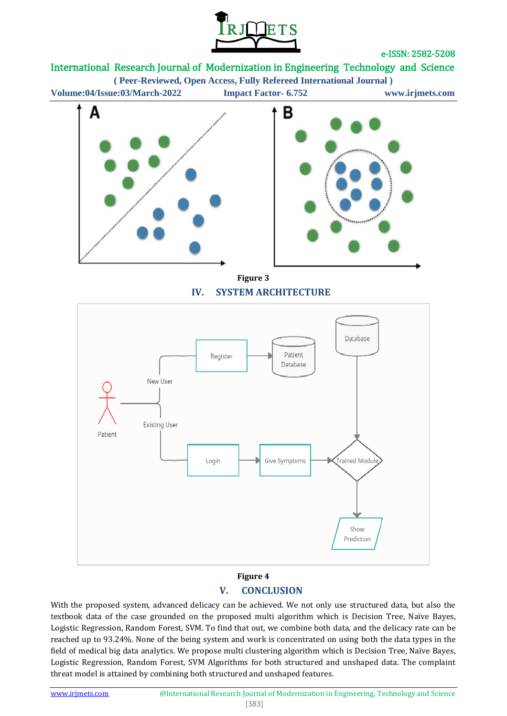

International Research Journal of Modernization in Engineering Technology and Science

**( Peer-Reviewed, Open Access, Fully Refereed International Journal )**

**Volume:04/Issue:03/March-2022 Impact Factor- 6.752 www.irjmets.com**





**Figure 3 IV. SYSTEM ARCHITECTURE**



# **Figure 4 V. CONCLUSION**

With the proposed system, advanced delicacy can be achieved. We not only use structured data, but also the textbook data of the case grounded on the proposed multi algorithm which is Decision Tree, Naïve Bayes, Logistic Regression, Random Forest, SVM. To find that out, we combine both data, and the delicacy rate can be reached up to 93.24%. None of the being system and work is concentrated on using both the data types in the field of medical big data analytics. We propose multi clustering algorithm which is Decision Tree, Naïve Bayes, Logistic Regression, Random Forest, SVM Algorithms for both structured and unshaped data. The complaint threat model is attained by combining both structured and unshaped features.